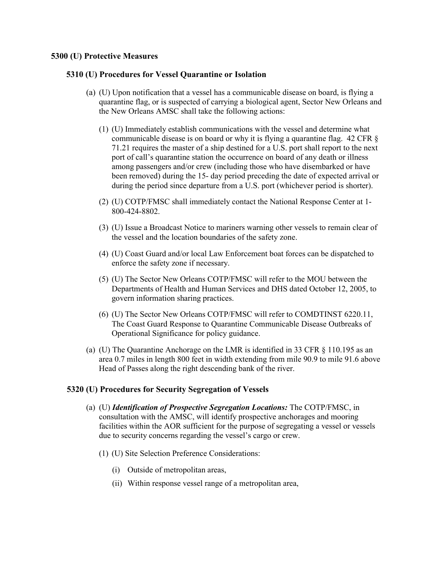## **5300 (U) Protective Measures**

## **5310 (U) Procedures for Vessel Quarantine or Isolation**

- (a) (U) Upon notification that a vessel has a communicable disease on board, is flying a quarantine flag, or is suspected of carrying a biological agent, Sector New Orleans and the New Orleans AMSC shall take the following actions:
	- (1) (U) Immediately establish communications with the vessel and determine what communicable disease is on board or why it is flying a quarantine flag. 42 CFR § 71.21 requires the master of a ship destined for a U.S. port shall report to the next port of call's quarantine station the occurrence on board of any death or illness among passengers and/or crew (including those who have disembarked or have been removed) during the 15- day period preceding the date of expected arrival or during the period since departure from a U.S. port (whichever period is shorter).
	- (2) (U) COTP/FMSC shall immediately contact the National Response Center at 1- 800-424-8802.
	- (3) (U) Issue a Broadcast Notice to mariners warning other vessels to remain clear of the vessel and the location boundaries of the safety zone.
	- (4) (U) Coast Guard and/or local Law Enforcement boat forces can be dispatched to enforce the safety zone if necessary.
	- (5) (U) The Sector New Orleans COTP/FMSC will refer to the MOU between the Departments of Health and Human Services and DHS dated October 12, 2005, to govern information sharing practices.
	- (6) (U) The Sector New Orleans COTP/FMSC will refer to COMDTINST 6220.11, The Coast Guard Response to Quarantine Communicable Disease Outbreaks of Operational Significance for policy guidance.
- (a) (U) The Quarantine Anchorage on the LMR is identified in 33 CFR § 110.195 as an area 0.7 miles in length 800 feet in width extending from mile 90.9 to mile 91.6 above Head of Passes along the right descending bank of the river.

## **5320 (U) Procedures for Security Segregation of Vessels**

- (a) (U) *Identification of Prospective Segregation Locations:* The COTP/FMSC, in consultation with the AMSC, will identify prospective anchorages and mooring facilities within the AOR sufficient for the purpose of segregating a vessel or vessels due to security concerns regarding the vessel's cargo or crew.
	- (1) (U) Site Selection Preference Considerations:
		- (i) Outside of metropolitan areas,
		- (ii) Within response vessel range of a metropolitan area,